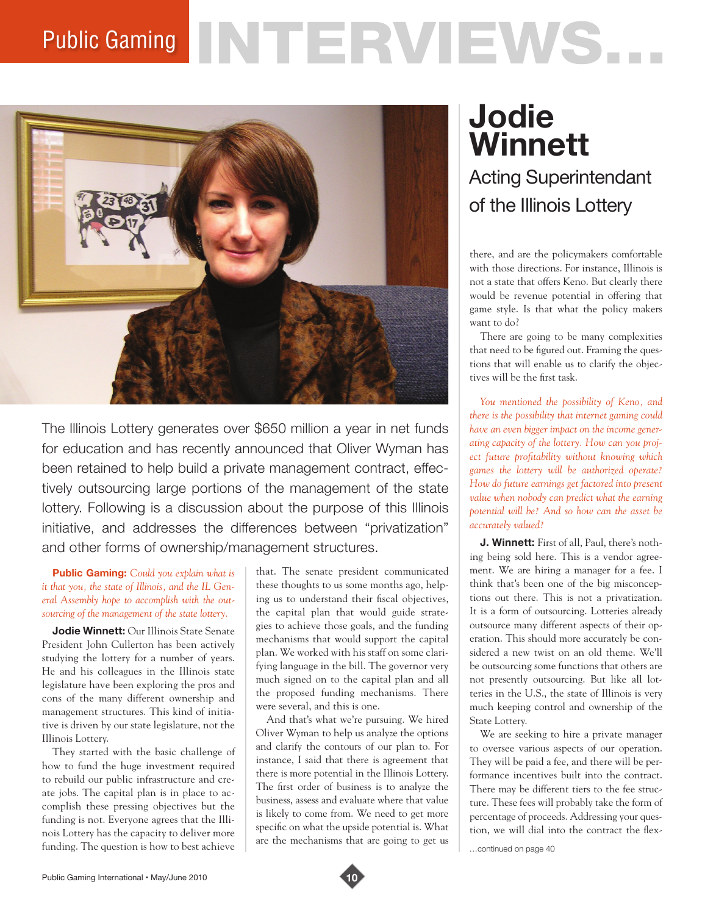## Public Gaming NTERVIEWS.



The Illinois Lottery generates over \$650 million a year in net funds for education and has recently announced that Oliver Wyman has been retained to help build a private management contract, effectively outsourcing large portions of the management of the state lottery. Following is a discussion about the purpose of this Illinois initiative, and addresses the differences between "privatization" and other forms of ownership/management structures.

## **Public Gaming:** *Could you explain what is it that you, the state of Illinois, and the IL General Assembly hope to accomplish with the outsourcing of the management of the state lottery.*

**Jodie Winnett:** Our Illinois State Senate President John Cullerton has been actively studying the lottery for a number of years. He and his colleagues in the Illinois state legislature have been exploring the pros and cons of the many different ownership and management structures. This kind of initiative is driven by our state legislature, not the Illinois Lottery.

They started with the basic challenge of how to fund the huge investment required to rebuild our public infrastructure and create jobs. The capital plan is in place to accomplish these pressing objectives but the funding is not. Everyone agrees that the Illinois Lottery has the capacity to deliver more funding. The question is how to best achieve

that. The senate president communicated these thoughts to us some months ago, helping us to understand their fiscal objectives, the capital plan that would guide strategies to achieve those goals, and the funding mechanisms that would support the capital plan. We worked with his staff on some clarifying language in the bill. The governor very much signed on to the capital plan and all the proposed funding mechanisms. There were several, and this is one.

And that's what we're pursuing. We hired Oliver Wyman to help us analyze the options and clarify the contours of our plan to. For instance, I said that there is agreement that there is more potential in the Illinois Lottery. The first order of business is to analyze the business, assess and evaluate where that value is likely to come from. We need to get more specific on what the upside potential is. What are the mechanisms that are going to get us

## **Jodie Winnett**

Acting Superintendant of the Illinois Lottery

there, and are the policymakers comfortable with those directions. For instance, Illinois is not a state that offers Keno. But clearly there would be revenue potential in offering that game style. Is that what the policy makers want to do?

There are going to be many complexities that need to be figured out. Framing the questions that will enable us to clarify the objectives will be the first task.

*You mentioned the possibility of Keno, and there is the possibility that internet gaming could have an even bigger impact on the income generating capacity of the lottery. How can you project future profitability without knowing which games the lottery will be authorized operate? How do future earnings get factored into present value when nobody can predict what the earning potential will be? And so how can the asset be accurately valued?* 

**J. Winnett:** First of all, Paul, there's nothing being sold here. This is a vendor agreement. We are hiring a manager for a fee. I think that's been one of the big misconceptions out there. This is not a privatization. It is a form of outsourcing. Lotteries already outsource many different aspects of their operation. This should more accurately be considered a new twist on an old theme. We'll be outsourcing some functions that others are not presently outsourcing. But like all lotteries in the U.S., the state of Illinois is very much keeping control and ownership of the State Lottery.

We are seeking to hire a private manager to oversee various aspects of our operation. They will be paid a fee, and there will be performance incentives built into the contract. There may be different tiers to the fee structure. These fees will probably take the form of percentage of proceeds. Addressing your question, we will dial into the contract the flex-

…continued on page 40

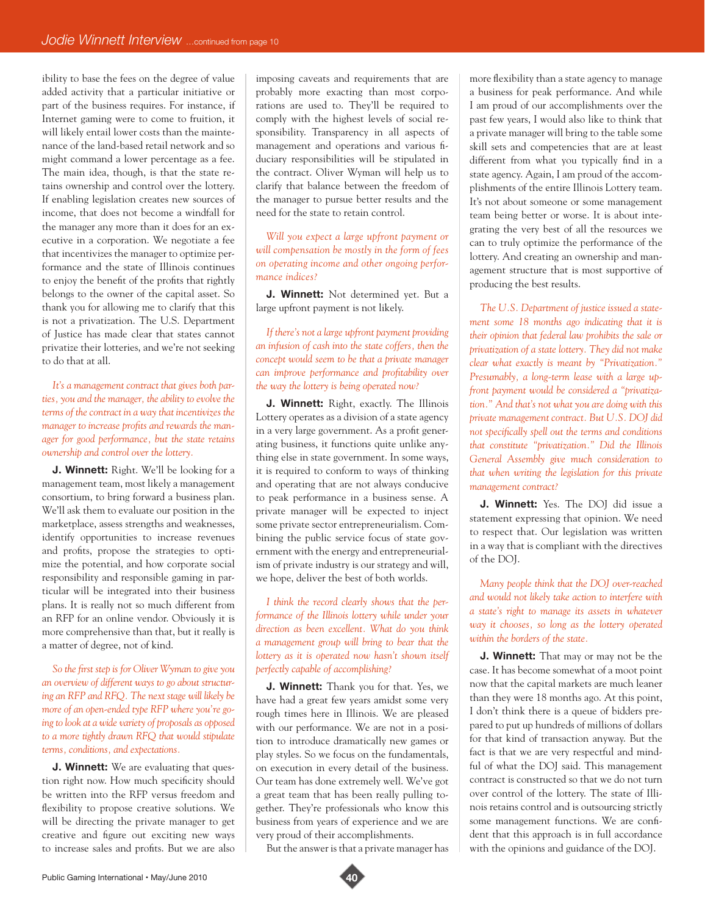ibility to base the fees on the degree of value added activity that a particular initiative or part of the business requires. For instance, if Internet gaming were to come to fruition, it will likely entail lower costs than the maintenance of the land-based retail network and so might command a lower percentage as a fee. The main idea, though, is that the state retains ownership and control over the lottery. If enabling legislation creates new sources of income, that does not become a windfall for the manager any more than it does for an executive in a corporation. We negotiate a fee that incentivizes the manager to optimize performance and the state of Illinois continues to enjoy the benefit of the profits that rightly belongs to the owner of the capital asset. So thank you for allowing me to clarify that this is not a privatization. The U.S. Department of Justice has made clear that states cannot privatize their lotteries, and we're not seeking to do that at all.

*It's a management contract that gives both parties, you and the manager, the ability to evolve the terms of the contract in a way that incentivizes the manager to increase profits and rewards the manager for good performance, but the state retains ownership and control over the lottery.* 

**J. Winnett:** Right. We'll be looking for a management team, most likely a management consortium, to bring forward a business plan. We'll ask them to evaluate our position in the marketplace, assess strengths and weaknesses, identify opportunities to increase revenues and profits, propose the strategies to optimize the potential, and how corporate social responsibility and responsible gaming in particular will be integrated into their business plans. It is really not so much different from an RFP for an online vendor. Obviously it is more comprehensive than that, but it really is a matter of degree, not of kind.

*So the first step is for Oliver Wyman to give you an overview of different ways to go about structuring an RFP and RFQ. The next stage will likely be more of an open-ended type RFP where you're going to look at a wide variety of proposals as opposed to a more tightly drawn RFQ that would stipulate terms, conditions, and expectations.* 

**J. Winnett:** We are evaluating that question right now. How much specificity should be written into the RFP versus freedom and flexibility to propose creative solutions. We will be directing the private manager to get creative and figure out exciting new ways to increase sales and profits. But we are also

imposing caveats and requirements that are probably more exacting than most corporations are used to. They'll be required to comply with the highest levels of social responsibility. Transparency in all aspects of management and operations and various fiduciary responsibilities will be stipulated in the contract. Oliver Wyman will help us to clarify that balance between the freedom of the manager to pursue better results and the need for the state to retain control.

*Will you expect a large upfront payment or will compensation be mostly in the form of fees on operating income and other ongoing performance indices?* 

**J. Winnett:** Not determined yet. But a large upfront payment is not likely.

*If there's not a large upfront payment providing an infusion of cash into the state coffers, then the concept would seem to be that a private manager can improve performance and profitability over the way the lottery is being operated now?* 

**J. Winnett:** Right, exactly. The Illinois Lottery operates as a division of a state agency in a very large government. As a profit generating business, it functions quite unlike anything else in state government. In some ways, it is required to conform to ways of thinking and operating that are not always conducive to peak performance in a business sense. A private manager will be expected to inject some private sector entrepreneurialism. Combining the public service focus of state government with the energy and entrepreneurialism of private industry is our strategy and will, we hope, deliver the best of both worlds.

*I think the record clearly shows that the performance of the Illinois lottery while under your direction as been excellent. What do you think a management group will bring to bear that the lottery as it is operated now hasn't shown itself perfectly capable of accomplishing?* 

**J. Winnett:** Thank you for that. Yes, we have had a great few years amidst some very rough times here in Illinois. We are pleased with our performance. We are not in a position to introduce dramatically new games or play styles. So we focus on the fundamentals, on execution in every detail of the business. Our team has done extremely well. We've got a great team that has been really pulling together. They're professionals who know this business from years of experience and we are very proud of their accomplishments.

But the answer is that a private manager has

more flexibility than a state agency to manage a business for peak performance. And while I am proud of our accomplishments over the past few years, I would also like to think that a private manager will bring to the table some skill sets and competencies that are at least different from what you typically find in a state agency. Again, I am proud of the accomplishments of the entire Illinois Lottery team. It's not about someone or some management team being better or worse. It is about integrating the very best of all the resources we can to truly optimize the performance of the lottery. And creating an ownership and management structure that is most supportive of producing the best results.

*The U.S. Department of justice issued a statement some 18 months ago indicating that it is their opinion that federal law prohibits the sale or privatization of a state lottery. They did not make clear what exactly is meant by "Privatization." Presumably, a long-term lease with a large upfront payment would be considered a "privatization." And that's not what you are doing with this private management contract. But U.S. DOJ did not specifically spell out the terms and conditions that constitute "privatization." Did the Illinois General Assembly give much consideration to that when writing the legislation for this private management contract?*

**J. Winnett:** Yes. The DOJ did issue a statement expressing that opinion. We need to respect that. Our legislation was written in a way that is compliant with the directives of the DOJ.

*Many people think that the DOJ over-reached and would not likely take action to interfere with a state's right to manage its assets in whatever way it chooses, so long as the lottery operated within the borders of the state.* 

**J. Winnett:** That may or may not be the case. It has become somewhat of a moot point now that the capital markets are much leaner than they were 18 months ago. At this point, I don't think there is a queue of bidders prepared to put up hundreds of millions of dollars for that kind of transaction anyway. But the fact is that we are very respectful and mindful of what the DOJ said. This management contract is constructed so that we do not turn over control of the lottery. The state of Illinois retains control and is outsourcing strictly some management functions. We are confident that this approach is in full accordance with the opinions and guidance of the DOJ.